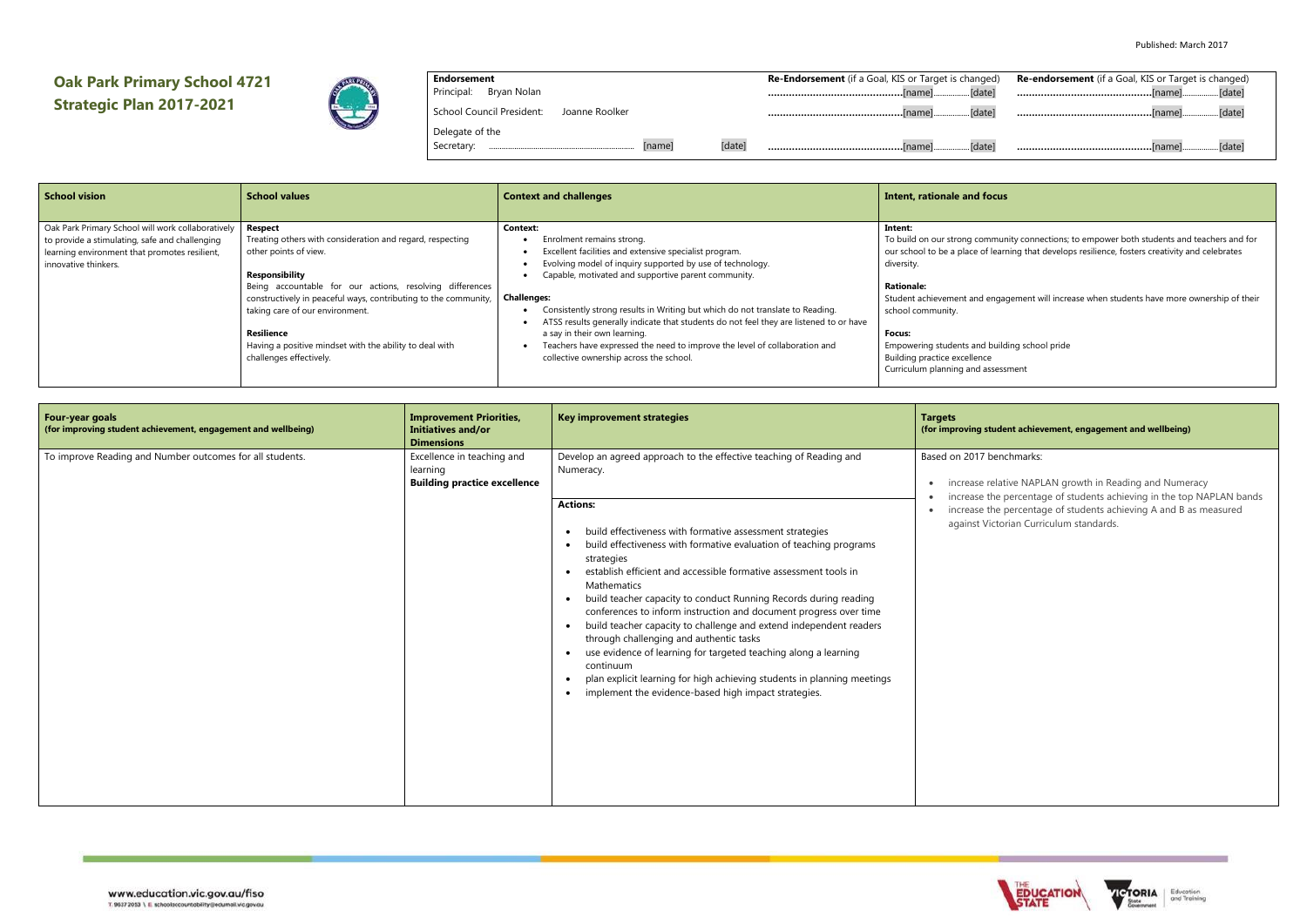# **Oak Park Primary School 4721 Strategic Plan 2017-2021**



## **Endorsement**

Principal: Bryan Nolan

School Council President: Joanne Roolker

Delegate of the

Secretary: ..................................................................... [name] [date] **Re-Endorsement** (if a Goal, KIS or Target is change **………………………………………**[name].................[date] **………………………………………**[name].................[date] **………………………………………**[name].................[date]

| ed) | <b>Re-endorsement</b> (if a Goal, KIS or Target is changed) |
|-----|-------------------------------------------------------------|
| eĪ  |                                                             |
| el  |                                                             |
| e1  |                                                             |

nmunity connections; to empower both students and teachers and for learning that develops resilience, fosters creativity and celebrates

engagement will increase when students have more ownership of their

building school pride ssessment

| <b>School vision</b>                              | <b>School values</b>                                            | <b>Context and challenges</b>                                                          | Intent, rationale and focus       |
|---------------------------------------------------|-----------------------------------------------------------------|----------------------------------------------------------------------------------------|-----------------------------------|
| Oak Park Primary School will work collaboratively | <b>Respect</b>                                                  | Context:                                                                               | Intent:                           |
| to provide a stimulating, safe and challenging    | Treating others with consideration and regard, respecting       | Enrolment remains strong.                                                              | To build on our strong commur     |
| learning environment that promotes resilient,     | other points of view.                                           | Excellent facilities and extensive specialist program.                                 | our school to be a place of learn |
| innovative thinkers.                              |                                                                 | Evolving model of inquiry supported by use of technology.                              | diversity.                        |
|                                                   | Responsibility                                                  | Capable, motivated and supportive parent community.                                    |                                   |
|                                                   | Being accountable for our actions, resolving differences        |                                                                                        | <b>Rationale:</b>                 |
|                                                   | constructively in peaceful ways, contributing to the community, | <b>Challenges:</b>                                                                     | Student achievement and engar     |
|                                                   | taking care of our environment.                                 | Consistently strong results in Writing but which do not translate to Reading.          | school community.                 |
|                                                   |                                                                 | ATSS results generally indicate that students do not feel they are listened to or have |                                   |
|                                                   | <b>Resilience</b>                                               | a say in their own learning.                                                           | <b>Focus:</b>                     |
|                                                   | Having a positive mindset with the ability to deal with         | Teachers have expressed the need to improve the level of collaboration and             | Empowering students and build     |
|                                                   | challenges effectively.                                         | collective ownership across the school.                                                | Building practice excellence      |
|                                                   |                                                                 |                                                                                        | Curriculum planning and assess    |
|                                                   |                                                                 |                                                                                        |                                   |

### **(for improving student achievement, engagement and wellbeing)**

#### benchmarks:

relative NAPLAN growth in Reading and Numeracy the percentage of students achieving in the top NAPLAN bands the percentage of students achieving A and B as measured lictorian Curriculum standards.





| Four-year goals<br>(for improving student achievement, engagement and wellbeing) | <b>Improvement Priorities,</b><br><b>Initiatives and/or</b><br><b>Dimensions</b> | <b>Key improvement strategies</b>                                                                                                                                                                                                                                                                                                                                                                                                                                                                                                                                                                                                                                                                                                                                                                                                                                                                                           | <b>Targets</b><br>(for improving st                                             |
|----------------------------------------------------------------------------------|----------------------------------------------------------------------------------|-----------------------------------------------------------------------------------------------------------------------------------------------------------------------------------------------------------------------------------------------------------------------------------------------------------------------------------------------------------------------------------------------------------------------------------------------------------------------------------------------------------------------------------------------------------------------------------------------------------------------------------------------------------------------------------------------------------------------------------------------------------------------------------------------------------------------------------------------------------------------------------------------------------------------------|---------------------------------------------------------------------------------|
| To improve Reading and Number outcomes for all students.                         | Excellence in teaching and<br>learning<br><b>Building practice excellence</b>    | Develop an agreed approach to the effective teaching of Reading and<br>Numeracy.<br><b>Actions:</b><br>build effectiveness with formative assessment strategies<br>$\bullet$<br>build effectiveness with formative evaluation of teaching programs<br>$\bullet$<br>strategies<br>establish efficient and accessible formative assessment tools in<br>$\bullet$<br>Mathematics<br>build teacher capacity to conduct Running Records during reading<br>$\bullet$<br>conferences to inform instruction and document progress over time<br>build teacher capacity to challenge and extend independent readers<br>$\bullet$<br>through challenging and authentic tasks<br>use evidence of learning for targeted teaching along a learning<br>$\bullet$<br>continuum<br>plan explicit learning for high achieving students in planning meetings<br>$\bullet$<br>implement the evidence-based high impact strategies.<br>$\bullet$ | Based on 2017 b<br>increase re<br>increase tl<br>increase tl<br>٠<br>against Vi |
|                                                                                  |                                                                                  |                                                                                                                                                                                                                                                                                                                                                                                                                                                                                                                                                                                                                                                                                                                                                                                                                                                                                                                             |                                                                                 |